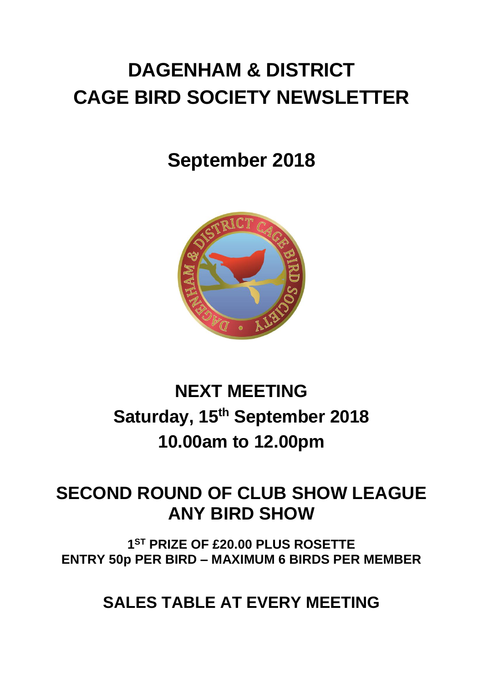# **DAGENHAM & DISTRICT CAGE BIRD SOCIETY NEWSLETTER**

# **September 2018**



# **NEXT MEETING Saturday, 15 th September 2018 10.00am to 12.00pm**

# **SECOND ROUND OF CLUB SHOW LEAGUE ANY BIRD SHOW**

**1 ST PRIZE OF £20.00 PLUS ROSETTE ENTRY 50p PER BIRD – MAXIMUM 6 BIRDS PER MEMBER**

**SALES TABLE AT EVERY MEETING**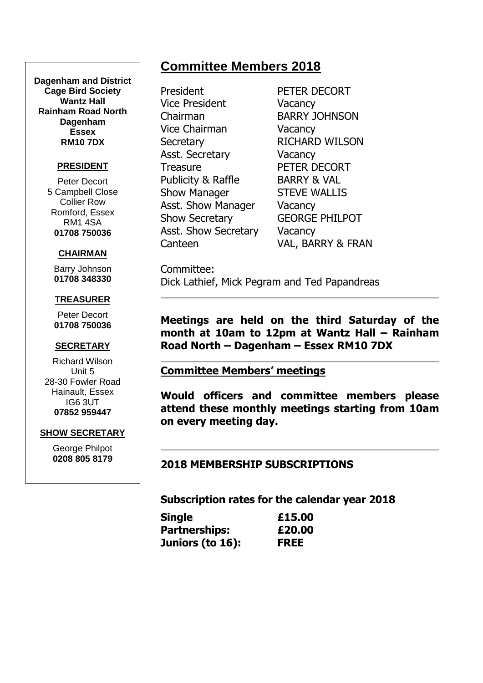#### **Dagenham and District Cage Bird Society Wantz Hall Rainham Road North Dagenham Essex RM10 7DX**

#### **PRESIDENT**

Peter Decort 5 Campbell Close Collier Row Romford, Essex RM1 4SA **01708 750036**

#### **CHAIRMAN**

Barry Johnson **01708 348330**

#### **TREASURER**

Peter Decort **01708 750036**

#### **SECRETARY**

Richard Wilson Unit 5 28-30 Fowler Road Hainault, Essex IG6 3UT **07852 959447**

#### **SHOW SECRETARY**

George Philpot **0208 805 8179**

# **Committee Members 2018**

President PETER DECORT Vice President Vacancy Chairman BARRY JOHNSON Vice Chairman Vacancy Secretary RICHARD WILSON Asst. Secretary **Vacancy** Treasure PETER DECORT Publicity & Raffle BARRY & VAL Show Manager STEVE WALLIS Asst. Show Manager Vacancy Show Secretary GEORGE PHILPOT Asst. Show Secretary Vacancy

Canteen VAL, BARRY & FRAN

Committee: Dick Lathief, Mick Pegram and Ted Papandreas

**Meetings are held on the third Saturday of the month at 10am to 12pm at Wantz Hall – Rainham Road North – Dagenham – Essex RM10 7DX**

#### **Committee Members' meetings**

**Would officers and committee members please attend these monthly meetings starting from 10am on every meeting day.**

#### **2018 MEMBERSHIP SUBSCRIPTIONS**

**Subscription rates for the calendar year 2018**

| <b>Single</b>        | £15.00      |
|----------------------|-------------|
| <b>Partnerships:</b> | £20.00      |
| Juniors (to 16):     | <b>FREE</b> |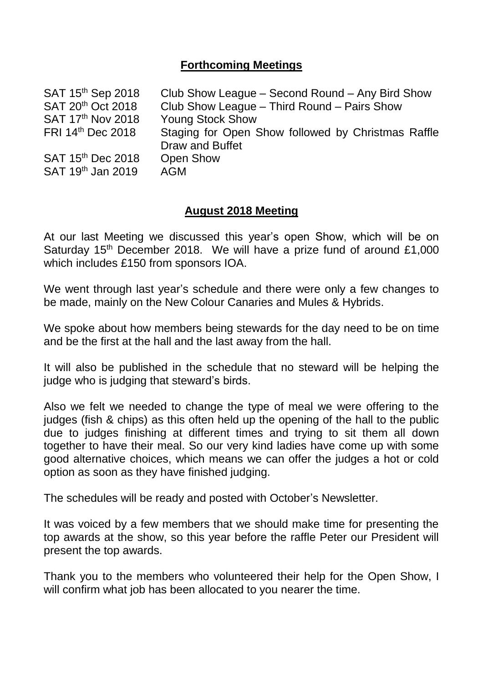## **Forthcoming Meetings**

| Club Show League – Second Round – Any Bird Show    |
|----------------------------------------------------|
| Club Show League - Third Round - Pairs Show        |
| <b>Young Stock Show</b>                            |
| Staging for Open Show followed by Christmas Raffle |
| Draw and Buffet                                    |
| <b>Open Show</b>                                   |
| <b>AGM</b>                                         |
|                                                    |

#### **August 2018 Meeting**

At our last Meeting we discussed this year's open Show, which will be on Saturday  $15<sup>th</sup>$  December 2018. We will have a prize fund of around £1,000 which includes £150 from sponsors IOA.

We went through last year's schedule and there were only a few changes to be made, mainly on the New Colour Canaries and Mules & Hybrids.

We spoke about how members being stewards for the day need to be on time and be the first at the hall and the last away from the hall.

It will also be published in the schedule that no steward will be helping the judge who is judging that steward's birds.

Also we felt we needed to change the type of meal we were offering to the judges (fish & chips) as this often held up the opening of the hall to the public due to judges finishing at different times and trying to sit them all down together to have their meal. So our very kind ladies have come up with some good alternative choices, which means we can offer the judges a hot or cold option as soon as they have finished judging.

The schedules will be ready and posted with October's Newsletter.

It was voiced by a few members that we should make time for presenting the top awards at the show, so this year before the raffle Peter our President will present the top awards.

Thank you to the members who volunteered their help for the Open Show, I will confirm what job has been allocated to you nearer the time.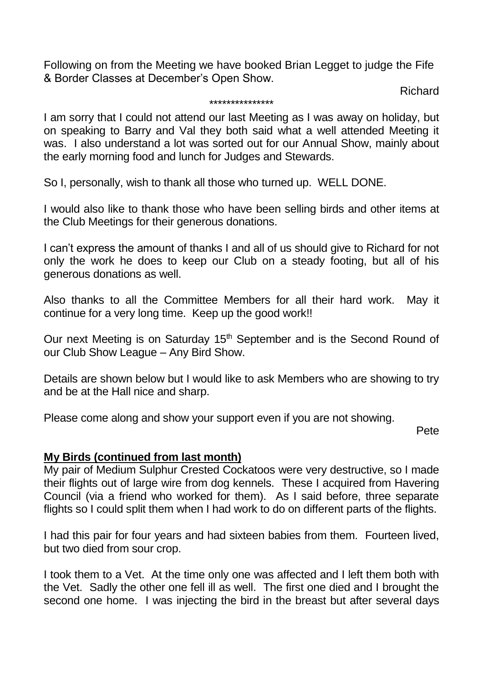Following on from the Meeting we have booked Brian Legget to judge the Fife & Border Classes at December's Open Show.

Richard

#### \*\*\*\*\*\*\*\*\*\*\*\*\*\*\*

I am sorry that I could not attend our last Meeting as I was away on holiday, but on speaking to Barry and Val they both said what a well attended Meeting it was. I also understand a lot was sorted out for our Annual Show, mainly about the early morning food and lunch for Judges and Stewards.

So I, personally, wish to thank all those who turned up. WELL DONE.

I would also like to thank those who have been selling birds and other items at the Club Meetings for their generous donations.

I can't express the amount of thanks I and all of us should give to Richard for not only the work he does to keep our Club on a steady footing, but all of his generous donations as well.

Also thanks to all the Committee Members for all their hard work. May it continue for a very long time. Keep up the good work!!

Our next Meeting is on Saturday 15<sup>th</sup> September and is the Second Round of our Club Show League – Any Bird Show.

Details are shown below but I would like to ask Members who are showing to try and be at the Hall nice and sharp.

Please come along and show your support even if you are not showing.

Pete

#### **My Birds (continued from last month)**

My pair of Medium Sulphur Crested Cockatoos were very destructive, so I made their flights out of large wire from dog kennels. These I acquired from Havering Council (via a friend who worked for them). As I said before, three separate flights so I could split them when I had work to do on different parts of the flights.

I had this pair for four years and had sixteen babies from them. Fourteen lived, but two died from sour crop.

I took them to a Vet. At the time only one was affected and I left them both with the Vet. Sadly the other one fell ill as well. The first one died and I brought the second one home. I was injecting the bird in the breast but after several days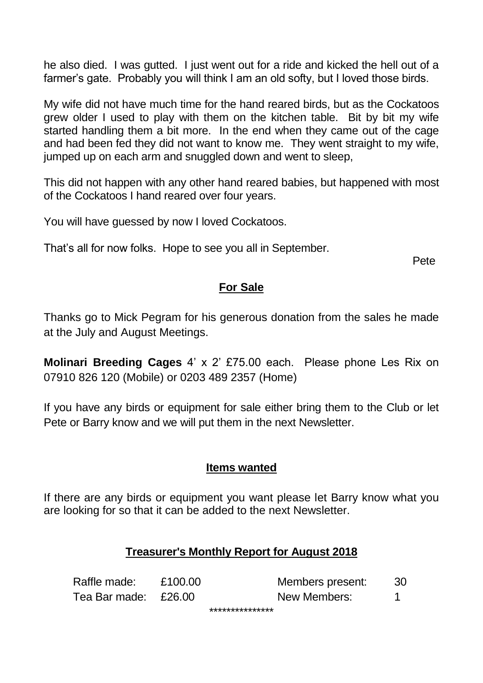he also died. I was gutted. I just went out for a ride and kicked the hell out of a farmer's gate. Probably you will think I am an old softy, but I loved those birds.

My wife did not have much time for the hand reared birds, but as the Cockatoos grew older I used to play with them on the kitchen table. Bit by bit my wife started handling them a bit more. In the end when they came out of the cage and had been fed they did not want to know me. They went straight to my wife, jumped up on each arm and snuggled down and went to sleep,

This did not happen with any other hand reared babies, but happened with most of the Cockatoos I hand reared over four years.

You will have guessed by now I loved Cockatoos.

That's all for now folks. Hope to see you all in September.

Pete

## **For Sale**

Thanks go to Mick Pegram for his generous donation from the sales he made at the July and August Meetings.

**Molinari Breeding Cages** 4' x 2' £75.00 each. Please phone Les Rix on 07910 826 120 (Mobile) or 0203 489 2357 (Home)

If you have any birds or equipment for sale either bring them to the Club or let Pete or Barry know and we will put them in the next Newsletter.

## **Items wanted**

If there are any birds or equipment you want please let Barry know what you are looking for so that it can be added to the next Newsletter.

## **Treasurer's Monthly Report for August 2018**

| Raffle made:         | £100.00 | Members present: | 30 |
|----------------------|---------|------------------|----|
| Tea Bar made: £26.00 |         | New Members:     |    |
|                      |         |                  |    |

\*\*\*\*\*\*\*\*\*\*\*\*\*\*\*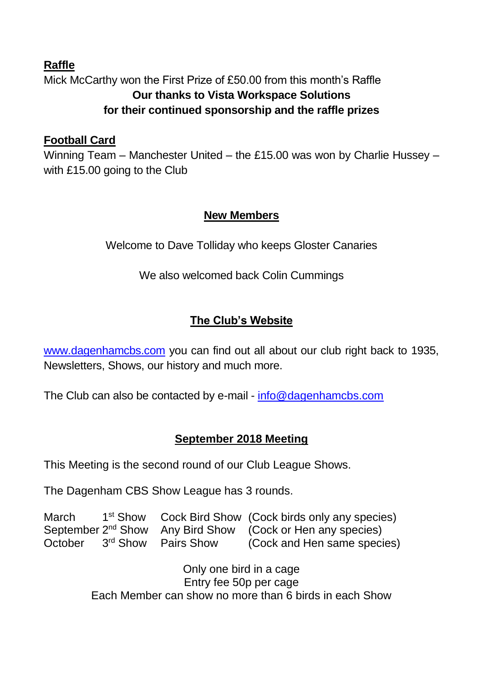## **Raffle** Mick McCarthy won the First Prize of £50.00 from this month's Raffle **Our thanks to Vista Workspace Solutions for their continued sponsorship and the raffle prizes**

## **Football Card**

Winning Team – Manchester United – the £15.00 was won by Charlie Hussey – with £15.00 going to the Club

## **New Members**

Welcome to Dave Tolliday who keeps Gloster Canaries

We also welcomed back Colin Cummings

# **The Club's Website**

[www.dagenhamcbs.com](http://www.dagenhamcbs.com/) you can find out all about our club right back to 1935, Newsletters, Shows, our history and much more.

The Club can also be contacted by e-mail - [info@dagenhamcbs.com](mailto:info@dagenhamcbs.com)

# **September 2018 Meeting**

This Meeting is the second round of our Club League Shows.

The Dagenham CBS Show League has 3 rounds.

| March   |                                 | 1 <sup>st</sup> Show Cock Bird Show (Cock birds only any species)      |
|---------|---------------------------------|------------------------------------------------------------------------|
|         |                                 | September 2 <sup>nd</sup> Show Any Bird Show (Cock or Hen any species) |
| October | 3 <sup>rd</sup> Show Pairs Show | (Cock and Hen same species)                                            |

Only one bird in a cage Entry fee 50p per cage Each Member can show no more than 6 birds in each Show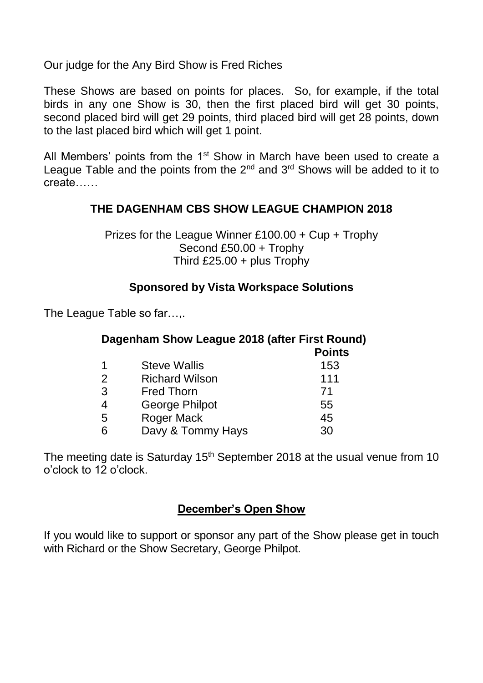Our judge for the Any Bird Show is Fred Riches

These Shows are based on points for places. So, for example, if the total birds in any one Show is 30, then the first placed bird will get 30 points, second placed bird will get 29 points, third placed bird will get 28 points, down to the last placed bird which will get 1 point.

All Members' points from the  $1<sup>st</sup>$  Show in March have been used to create a League Table and the points from the  $2<sup>nd</sup>$  and  $3<sup>rd</sup>$  Shows will be added to it to create……

## **THE DAGENHAM CBS SHOW LEAGUE CHAMPION 2018**

Prizes for the League Winner £100.00 + Cup + Trophy Second £50.00 + Trophy Third £25.00 + plus Trophy

#### **Sponsored by Vista Workspace Solutions**

The League Table so far…,.

| Dagenham Show League 2018 (after First Round)<br><b>Points</b> |                       |     |  |
|----------------------------------------------------------------|-----------------------|-----|--|
| 1                                                              | <b>Steve Wallis</b>   | 153 |  |
| 2                                                              | <b>Richard Wilson</b> | 111 |  |
| 3                                                              | <b>Fred Thorn</b>     | 71  |  |
| 4                                                              | <b>George Philpot</b> | 55  |  |
| 5                                                              | <b>Roger Mack</b>     | 45  |  |
| 6                                                              | Davy & Tommy Hays     | 30  |  |

The meeting date is Saturday  $15<sup>th</sup>$  September 2018 at the usual venue from 10 o'clock to 12 o'clock.

## **December's Open Show**

If you would like to support or sponsor any part of the Show please get in touch with Richard or the Show Secretary, George Philpot.